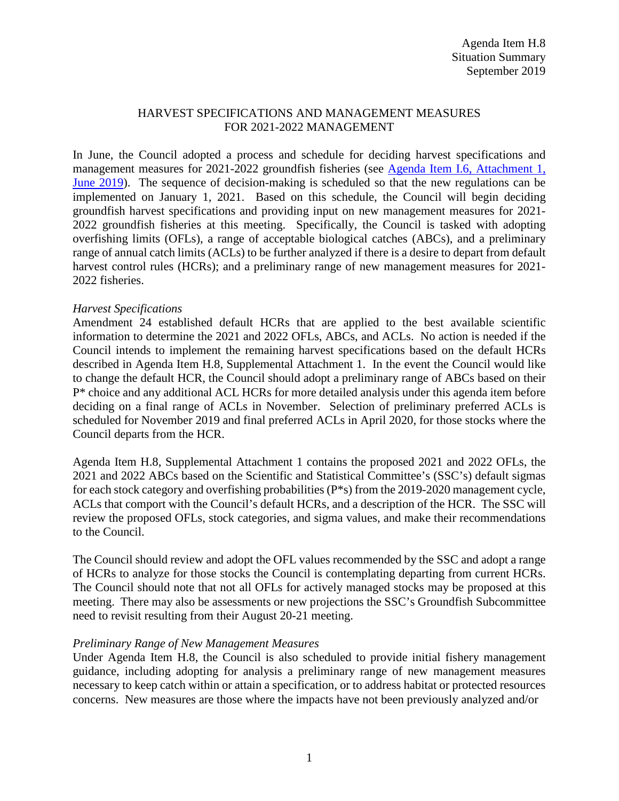#### HARVEST SPECIFICATIONS AND MANAGEMENT MEASURES FOR 2021-2022 MANAGEMENT

In June, the Council adopted a process and schedule for deciding harvest specifications and management measures for 2021-2022 groundfish fisheries (see [Agenda Item I.6, Attachment 1,](https://www.pcouncil.org/wp-content/uploads/2019/05/I6_Att1_Spex_Schedule_JUNE2019BB.pdf)  [June 2019\)](https://www.pcouncil.org/wp-content/uploads/2019/05/I6_Att1_Spex_Schedule_JUNE2019BB.pdf). The sequence of decision-making is scheduled so that the new regulations can be implemented on January 1, 2021. Based on this schedule, the Council will begin deciding groundfish harvest specifications and providing input on new management measures for 2021- 2022 groundfish fisheries at this meeting. Specifically, the Council is tasked with adopting overfishing limits (OFLs), a range of acceptable biological catches (ABCs), and a preliminary range of annual catch limits (ACLs) to be further analyzed if there is a desire to depart from default harvest control rules (HCRs); and a preliminary range of new management measures for 2021-2022 fisheries.

#### *Harvest Specifications*

Amendment 24 established default HCRs that are applied to the best available scientific information to determine the 2021 and 2022 OFLs, ABCs, and ACLs. No action is needed if the Council intends to implement the remaining harvest specifications based on the default HCRs described in Agenda Item H.8, Supplemental Attachment 1. In the event the Council would like to change the default HCR, the Council should adopt a preliminary range of ABCs based on their P\* choice and any additional ACL HCRs for more detailed analysis under this agenda item before deciding on a final range of ACLs in November. Selection of preliminary preferred ACLs is scheduled for November 2019 and final preferred ACLs in April 2020, for those stocks where the Council departs from the HCR.

Agenda Item H.8, Supplemental Attachment 1 contains the proposed 2021 and 2022 OFLs, the 2021 and 2022 ABCs based on the Scientific and Statistical Committee's (SSC's) default sigmas for each stock category and overfishing probabilities (P\*s) from the 2019-2020 management cycle, ACLs that comport with the Council's default HCRs, and a description of the HCR. The SSC will review the proposed OFLs, stock categories, and sigma values, and make their recommendations to the Council.

The Council should review and adopt the OFL values recommended by the SSC and adopt a range of HCRs to analyze for those stocks the Council is contemplating departing from current HCRs. The Council should note that not all OFLs for actively managed stocks may be proposed at this meeting. There may also be assessments or new projections the SSC's Groundfish Subcommittee need to revisit resulting from their August 20-21 meeting.

#### *Preliminary Range of New Management Measures*

Under Agenda Item H.8, the Council is also scheduled to provide initial fishery management guidance, including adopting for analysis a preliminary range of new management measures necessary to keep catch within or attain a specification, or to address habitat or protected resources concerns. New measures are those where the impacts have not been previously analyzed and/or